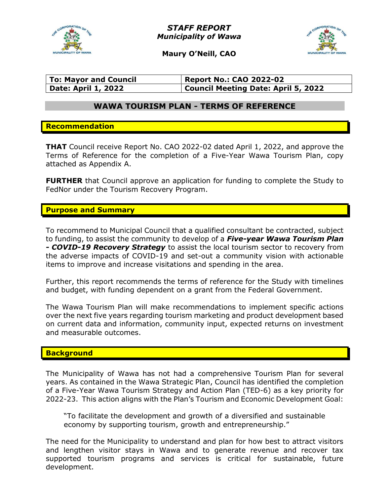

STAFF REPORT Municipality of Wawa



Maury O'Neill, CAO

| <b>To: Mayor and Council</b> | <b>Report No.: CAO 2022-02</b>      |
|------------------------------|-------------------------------------|
| <b>Date: April 1, 2022</b>   | Council Meeting Date: April 5, 2022 |

# WAWA TOURISM PLAN - TERMS OF REFERENCE

### Recommendation

**THAT** Council receive Report No. CAO 2022-02 dated April 1, 2022, and approve the Terms of Reference for the completion of a Five-Year Wawa Tourism Plan, copy attached as Appendix A.

**FURTHER** that Council approve an application for funding to complete the Study to FedNor under the Tourism Recovery Program.

### Purpose and Summary

To recommend to Municipal Council that a qualified consultant be contracted, subject to funding, to assist the community to develop of a *Five-year Wawa Tourism Plan* - **COVID-19 Recovery Strategy** to assist the local tourism sector to recovery from the adverse impacts of COVID-19 and set-out a community vision with actionable items to improve and increase visitations and spending in the area.

Further, this report recommends the terms of reference for the Study with timelines and budget, with funding dependent on a grant from the Federal Government.

The Wawa Tourism Plan will make recommendations to implement specific actions over the next five years regarding tourism marketing and product development based on current data and information, community input, expected returns on investment and measurable outcomes.

### **Background**

The Municipality of Wawa has not had a comprehensive Tourism Plan for several years. As contained in the Wawa Strategic Plan, Council has identified the completion of a Five-Year Wawa Tourism Strategy and Action Plan (TED-6) as a key priority for 2022-23. This action aligns with the Plan's Tourism and Economic Development Goal:

"To facilitate the development and growth of a diversified and sustainable economy by supporting tourism, growth and entrepreneurship."

The need for the Municipality to understand and plan for how best to attract visitors and lengthen visitor stays in Wawa and to generate revenue and recover tax supported tourism programs and services is critical for sustainable, future development.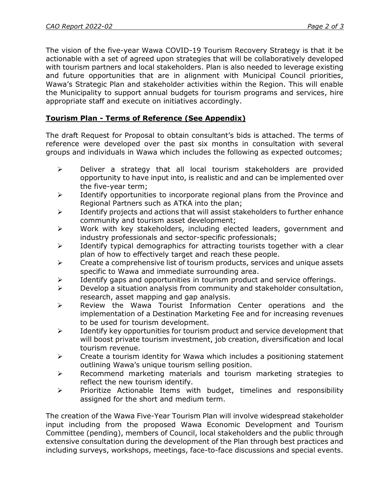The vision of the five-year Wawa COVID-19 Tourism Recovery Strategy is that it be actionable with a set of agreed upon strategies that will be collaboratively developed with tourism partners and local stakeholders. Plan is also needed to leverage existing and future opportunities that are in alignment with Municipal Council priorities, Wawa's Strategic Plan and stakeholder activities within the Region. This will enable the Municipality to support annual budgets for tourism programs and services, hire appropriate staff and execute on initiatives accordingly.

# Tourism Plan - Terms of Reference (See Appendix)

The draft Request for Proposal to obtain consultant's bids is attached. The terms of reference were developed over the past six months in consultation with several groups and individuals in Wawa which includes the following as expected outcomes;

- $\triangleright$  Deliver a strategy that all local tourism stakeholders are provided opportunity to have input into, is realistic and and can be implemented over the five-year term;
- $\triangleright$  Identify opportunities to incorporate regional plans from the Province and Regional Partners such as ATKA into the plan;
- $\triangleright$  Identify projects and actions that will assist stakeholders to further enhance community and tourism asset development;
- $\triangleright$  Work with key stakeholders, including elected leaders, government and industry professionals and sector-specific professionals;
- $\triangleright$  Identify typical demographics for attracting tourists together with a clear plan of how to effectively target and reach these people.
- $\triangleright$  Create a comprehensive list of tourism products, services and unique assets specific to Wawa and immediate surrounding area.
- $\triangleright$  Identify gaps and opportunities in tourism product and service offerings.
- $\triangleright$  Develop a situation analysis from community and stakeholder consultation, research, asset mapping and gap analysis.
- $\triangleright$  Review the Wawa Tourist Information Center operations and the implementation of a Destination Marketing Fee and for increasing revenues to be used for tourism development.
- $\triangleright$  Identify key opportunities for tourism product and service development that will boost private tourism investment, job creation, diversification and local tourism revenue.
- $\triangleright$  Create a tourism identity for Wawa which includes a positioning statement outlining Wawa's unique tourism selling position.
- $\triangleright$  Recommend marketing materials and tourism marketing strategies to reflect the new tourism identify.
- $\triangleright$  Prioritize Actionable Items with budget, timelines and responsibility assigned for the short and medium term.

The creation of the Wawa Five-Year Tourism Plan will involve widespread stakeholder input including from the proposed Wawa Economic Development and Tourism Committee (pending), members of Council, local stakeholders and the public through extensive consultation during the development of the Plan through best practices and including surveys, workshops, meetings, face-to-face discussions and special events.